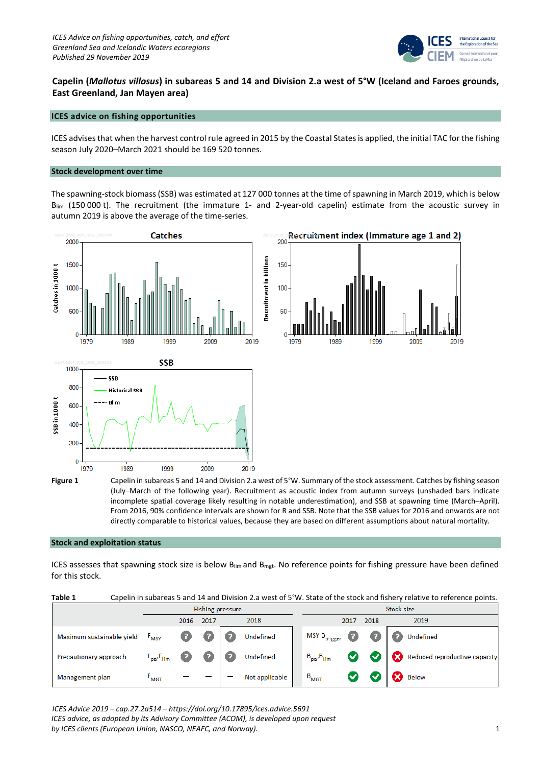

# **Capelin (***Mallotus villosus***) in subareas 5 and 14 and Division 2.a west of 5°W (Iceland and Faroes grounds, East Greenland, Jan Mayen area)**

# **ICES advice on fishing opportunities**

ICES advises that when the harvest control rule agreed in 2015 by the Coastal Statesis applied, the initial TAC for the fishing season July 2020–March 2021 should be 169 520 tonnes.

#### **Stock development over time**

The spawning-stock biomass (SSB) was estimated at 127 000 tonnes at the time of spawning in March 2019, which is below Blim (150 000 t). The recruitment (the immature 1- and 2-year-old capelin) estimate from the acoustic survey in autumn 2019 is above the average of the time-series.



**Figure 1** Capelin in subareas 5 and 14 and Division 2.a west of 5°W. Summary of the stock assessment. Catches by fishing season (July–March of the following year). Recruitment as acoustic index from autumn surveys (unshaded bars indicate incomplete spatial coverage likely resulting in notable underestimation), and SSB at spawning time (March–April). From 2016, 90% confidence intervals are shown for R and SSB. Note that the SSB values for 2016 and onwards are not directly comparable to historical values, because they are based on different assumptions about natural mortality.

#### **Stock and exploitation status**

ICES assesses that spawning stock size is below  $B_{lim}$  and  $B_{mgt}$ . No reference points for fishing pressure have been defined for this stock.

| Capelin in subareas 5 and 14 and Division 2.a west of 5°W. State of the stock and fishery relative to reference points.<br>Table 1 |
|------------------------------------------------------------------------------------------------------------------------------------|
|------------------------------------------------------------------------------------------------------------------------------------|

|                           | <b>Fishing pressure</b> |      |      |  |                |  | Stock size        |      |           |  |                               |
|---------------------------|-------------------------|------|------|--|----------------|--|-------------------|------|-----------|--|-------------------------------|
|                           |                         | 2016 | 2017 |  | 2018           |  |                   | 2017 | 2018      |  | 2019                          |
| Maximum sustainable yield | F <sub>MSY</sub>        | Ø    |      |  | Undefined      |  | $MSY B_{trigger}$ | Ø    |           |  | <b>Undefined</b>              |
| Precautionary approach    | $F_{pa'}F_{lim}$        | o    |      |  | Undefined      |  | $B_{pa}B_{lim}$   | Ø    | $\bullet$ |  | Reduced reproductive capacity |
| Management plan           | $F_{\text{MGT}}$        |      |      |  | Not applicable |  | $B_{MGT}$         |      |           |  | <b>Below</b>                  |

*ICES Advice 2019 – cap.27.2a514 – https://doi.org/10.17895/ices.advice.5691*

*ICES advice, as adopted by its Advisory Committee (ACOM), is developed upon request by ICES clients (European Union, NASCO, NEAFC, and Norway).* 1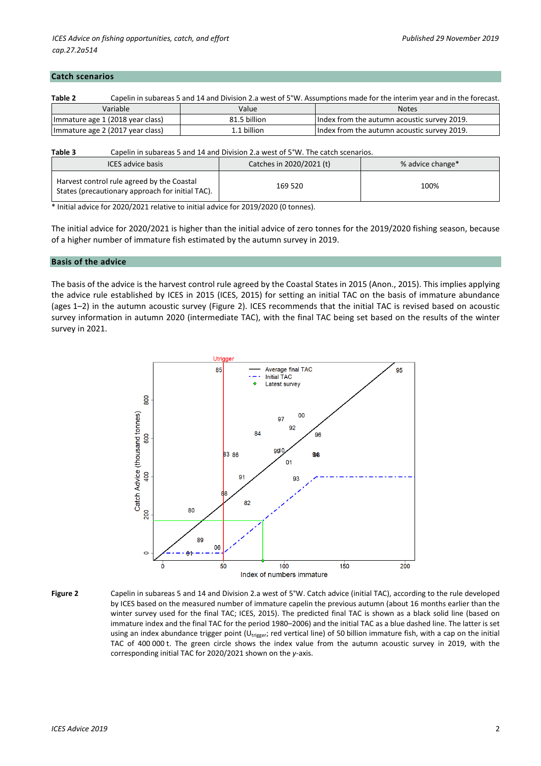#### **Catch scenarios**

| Table 2                          | Capelin in subareas 5 and 14 and Division 2.a west of 5°W. Assumptions made for the interim year and in the forecast. |                                             |  |  |  |  |  |  |  |
|----------------------------------|-----------------------------------------------------------------------------------------------------------------------|---------------------------------------------|--|--|--|--|--|--|--|
| Variable                         | Value                                                                                                                 | <b>Notes</b>                                |  |  |  |  |  |  |  |
| Immature age 1 (2018 year class) | 81.5 billion                                                                                                          | Index from the autumn acoustic survey 2019. |  |  |  |  |  |  |  |
| Immature age 2 (2017 year class) | 1.1 billion                                                                                                           | Index from the autumn acoustic survey 2019. |  |  |  |  |  |  |  |

#### **Table 3** Capelin in subareas 5 and 14 and Division 2.a west of 5°W. The catch scenarios.

| <b>ICES advice basis</b>                                                                       | Catches in 2020/2021 (t) | % advice change* |  |  |
|------------------------------------------------------------------------------------------------|--------------------------|------------------|--|--|
| Harvest control rule agreed by the Coastal<br>States (precautionary approach for initial TAC). | 169 520                  | 100%             |  |  |

\* Initial advice for 2020/2021 relative to initial advice for 2019/2020 (0 tonnes).

The initial advice for 2020/2021 is higher than the initial advice of zero tonnes for the 2019/2020 fishing season, because of a higher number of immature fish estimated by the autumn survey in 2019.

#### **Basis of the advice**

The basis of the advice is the harvest control rule agreed by the Coastal States in 2015 (Anon., 2015). This implies applying the advice rule established by ICES in 2015 (ICES, 2015) for setting an initial TAC on the basis of immature abundance (ages 1–2) in the autumn acoustic survey (Figure 2). ICES recommends that the initial TAC is revised based on acoustic survey information in autumn 2020 (intermediate TAC), with the final TAC being set based on the results of the winter survey in 2021.



**Figure 2** Capelin in subareas 5 and 14 and Division 2.a west of 5°W. Catch advice (initial TAC), according to the rule developed by ICES based on the measured number of immature capelin the previous autumn (about 16 months earlier than the winter survey used for the final TAC; ICES, 2015). The predicted final TAC is shown as a black solid line (based on immature index and the final TAC for the period 1980–2006) and the initial TAC as a blue dashed line. The latter is set using an index abundance trigger point (U<sub>trigger</sub>; red vertical line) of 50 billion immature fish, with a cap on the initial TAC of 400 000 t. The green circle shows the index value from the autumn acoustic survey in 2019, with the corresponding initial TAC for 2020/2021 shown on the *y*-axis.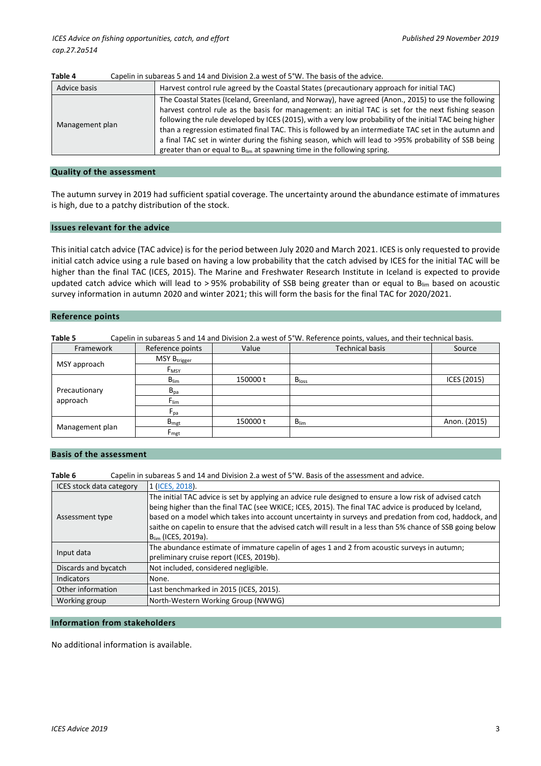| Harvest control rule agreed by the Coastal States (precautionary approach for initial TAC)<br>Advice basis<br>The Coastal States (Iceland, Greenland, and Norway), have agreed (Anon., 2015) to use the following<br>harvest control rule as the basis for management: an initial TAC is set for the next fishing season<br>following the rule developed by ICES (2015), with a very low probability of the initial TAC being higher<br>Management plan<br>than a regression estimated final TAC. This is followed by an intermediate TAC set in the autumn and<br>a final TAC set in winter during the fishing season, which will lead to >95% probability of SSB being<br>greater than or equal to $B_{lim}$ at spawning time in the following spring. | Table 4 | Capelin in Subareas 5 and 14 and Division 2.4 West Or 5 W. The basis Or the advice. |
|----------------------------------------------------------------------------------------------------------------------------------------------------------------------------------------------------------------------------------------------------------------------------------------------------------------------------------------------------------------------------------------------------------------------------------------------------------------------------------------------------------------------------------------------------------------------------------------------------------------------------------------------------------------------------------------------------------------------------------------------------------|---------|-------------------------------------------------------------------------------------|
|                                                                                                                                                                                                                                                                                                                                                                                                                                                                                                                                                                                                                                                                                                                                                          |         |                                                                                     |
|                                                                                                                                                                                                                                                                                                                                                                                                                                                                                                                                                                                                                                                                                                                                                          |         |                                                                                     |

# **Table 4** Capelin in subareas 5 and 14 and Division 2.a west of 5°W. The basis of the advice.

#### **Quality of the assessment**

The autumn survey in 2019 had sufficient spatial coverage. The uncertainty around the abundance estimate of immatures is high, due to a patchy distribution of the stock.

#### **Issues relevant for the advice**

This initial catch advice (TAC advice) is for the period between July 2020 and March 2021. ICES is only requested to provide initial catch advice using a rule based on having a low probability that the catch advised by ICES for the initial TAC will be higher than the final TAC (ICES, 2015). The Marine and Freshwater Research Institute in Iceland is expected to provide updated catch advice which will lead to > 95% probability of SSB being greater than or equal to  $B_{lim}$  based on acoustic survey information in autumn 2020 and winter 2021; this will form the basis for the final TAC for 2020/2021.

#### **Reference points**

| Table 5         |                          |          | Capelin in subareas 5 and 14 and Division 2.a west of 5°W. Reference points, values, and their technical basis. |              |
|-----------------|--------------------------|----------|-----------------------------------------------------------------------------------------------------------------|--------------|
| Framework       | Reference points         | Value    | <b>Technical basis</b>                                                                                          | Source       |
|                 | MSY B <sub>trigger</sub> |          |                                                                                                                 |              |
| MSY approach    | F <sub>MSY</sub>         |          |                                                                                                                 |              |
|                 | $B_{\text{lim}}$         | 150000 t | B <sub>loss</sub>                                                                                               | ICES (2015)  |
| Precautionary   | $B_{pa}$                 |          |                                                                                                                 |              |
| approach        | $F_{\text{lim}}$         |          |                                                                                                                 |              |
|                 | $F_{pa}$                 |          |                                                                                                                 |              |
|                 | $B_{\text{mgt}}$         | 150000 t | $B_{\text{lim}}$                                                                                                | Anon. (2015) |
| Management plan | $F_{\text{mgt}}$         |          |                                                                                                                 |              |

# **Basis of the assessment**

| Table 6                         | Capelin in subareas 5 and 14 and Division 2.a west of 5°W. Basis of the assessment and advice.                                                                                                                                                                                                                                                                                                                                                                             |
|---------------------------------|----------------------------------------------------------------------------------------------------------------------------------------------------------------------------------------------------------------------------------------------------------------------------------------------------------------------------------------------------------------------------------------------------------------------------------------------------------------------------|
| <b>ICES stock data category</b> | 1 (ICES, 2018).                                                                                                                                                                                                                                                                                                                                                                                                                                                            |
| Assessment type                 | The initial TAC advice is set by applying an advice rule designed to ensure a low risk of advised catch<br>being higher than the final TAC (see WKICE; ICES, 2015). The final TAC advice is produced by Iceland,<br>based on a model which takes into account uncertainty in surveys and predation from cod, haddock, and<br>saithe on capelin to ensure that the advised catch will result in a less than 5% chance of SSB going below<br>B <sub>lim</sub> (ICES, 2019a). |
| Input data                      | The abundance estimate of immature capelin of ages 1 and 2 from acoustic surveys in autumn;<br>preliminary cruise report (ICES, 2019b).                                                                                                                                                                                                                                                                                                                                    |
| Discards and bycatch            | Not included, considered negligible.                                                                                                                                                                                                                                                                                                                                                                                                                                       |
| Indicators                      | None.                                                                                                                                                                                                                                                                                                                                                                                                                                                                      |
| Other information               | Last benchmarked in 2015 (ICES, 2015).                                                                                                                                                                                                                                                                                                                                                                                                                                     |
| Working group                   | North-Western Working Group (NWWG)                                                                                                                                                                                                                                                                                                                                                                                                                                         |

#### **Information from stakeholders**

No additional information is available.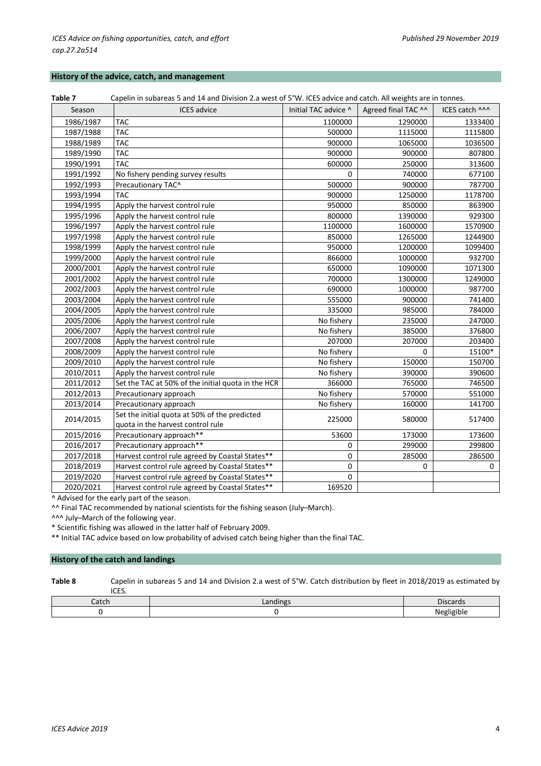## **History of the advice, catch, and management**

| Table 7   | Capelin in subareas 5 and 14 and Division 2.a west of 5°W. ICES advice and catch. All weights are in tonnes. |                      |                     |                |
|-----------|--------------------------------------------------------------------------------------------------------------|----------------------|---------------------|----------------|
| Season    | <b>ICES</b> advice                                                                                           | Initial TAC advice ^ | Agreed final TAC ^^ | ICES catch ^^^ |
| 1986/1987 | <b>TAC</b>                                                                                                   | 1100000              | 1290000             | 1333400        |
| 1987/1988 | <b>TAC</b>                                                                                                   | 500000               | 1115000             | 1115800        |
| 1988/1989 | <b>TAC</b>                                                                                                   | 900000               | 1065000             | 1036500        |
| 1989/1990 | <b>TAC</b>                                                                                                   | 900000               | 900000              | 807800         |
| 1990/1991 | <b>TAC</b>                                                                                                   | 600000               | 250000              | 313600         |
| 1991/1992 | No fishery pending survey results                                                                            | 0                    | 740000              | 677100         |
| 1992/1993 | Precautionary TAC^                                                                                           | 500000               | 900000              | 787700         |
| 1993/1994 | TAC                                                                                                          | 900000               | 1250000             | 1178700        |
| 1994/1995 | Apply the harvest control rule                                                                               | 950000               | 850000              | 863900         |
| 1995/1996 | Apply the harvest control rule                                                                               | 800000               | 1390000             | 929300         |
| 1996/1997 | Apply the harvest control rule                                                                               | 1100000              | 1600000             | 1570900        |
| 1997/1998 | Apply the harvest control rule                                                                               | 850000               | 1265000             | 1244900        |
| 1998/1999 | Apply the harvest control rule                                                                               | 950000               | 1200000             | 1099400        |
| 1999/2000 | Apply the harvest control rule                                                                               | 866000               | 1000000             | 932700         |
| 2000/2001 | Apply the harvest control rule                                                                               | 650000               | 1090000             | 1071300        |
| 2001/2002 | Apply the harvest control rule                                                                               | 700000               | 1300000             | 1249000        |
| 2002/2003 | Apply the harvest control rule                                                                               | 690000               | 1000000             | 987700         |
| 2003/2004 | Apply the harvest control rule                                                                               | 555000               | 900000              | 741400         |
| 2004/2005 | Apply the harvest control rule                                                                               | 335000               | 985000              | 784000         |
| 2005/2006 | Apply the harvest control rule                                                                               | No fishery           | 235000              | 247000         |
| 2006/2007 | Apply the harvest control rule                                                                               | No fishery           | 385000              | 376800         |
| 2007/2008 | Apply the harvest control rule                                                                               | 207000               | 207000              | 203400         |
| 2008/2009 | Apply the harvest control rule                                                                               | No fishery           | 0                   | 15100*         |
| 2009/2010 | Apply the harvest control rule                                                                               | No fishery           | 150000              | 150700         |
| 2010/2011 | Apply the harvest control rule                                                                               | No fishery           | 390000              | 390600         |
| 2011/2012 | Set the TAC at 50% of the initial quota in the HCR                                                           | 366000               | 765000              | 746500         |
| 2012/2013 | Precautionary approach                                                                                       | No fishery           | 570000              | 551000         |
| 2013/2014 | Precautionary approach                                                                                       | No fishery           | 160000              | 141700         |
| 2014/2015 | Set the initial quota at 50% of the predicted                                                                | 225000               | 580000              | 517400         |
|           | quota in the harvest control rule                                                                            |                      |                     |                |
| 2015/2016 | Precautionary approach**                                                                                     | 53600                | 173000              | 173600         |
| 2016/2017 | Precautionary approach**                                                                                     | 0                    | 299000              | 299800         |
| 2017/2018 | Harvest control rule agreed by Coastal States**                                                              | 0                    | 285000              | 286500         |
| 2018/2019 | Harvest control rule agreed by Coastal States**                                                              | 0                    | 0                   | 0              |
| 2019/2020 | Harvest control rule agreed by Coastal States**                                                              | $\mathbf 0$          |                     |                |
| 2020/2021 | Harvest control rule agreed by Coastal States**                                                              | 169520               |                     |                |

^ Advised for the early part of the season.

^^ Final TAC recommended by national scientists for the fishing season (July–March).

^^^ July–March of the following year.

\* Scientific fishing was allowed in the latter half of February 2009.

\*\* Initial TAC advice based on low probability of advised catch being higher than the final TAC.

### **History of the catch and landings**

**Table 8** Capelin in subareas 5 and 14 and Division 2.a west of 5°W. Catch distribution by fleet in 2018/2019 as estimated by ICES.

| Catch | .andings | $\overline{\phantom{0}}$<br>Discards<br>         |
|-------|----------|--------------------------------------------------|
|       |          | $\sim$ $\sim$<br>$\sim$<br>.<br>ميا ممايد<br>יונ |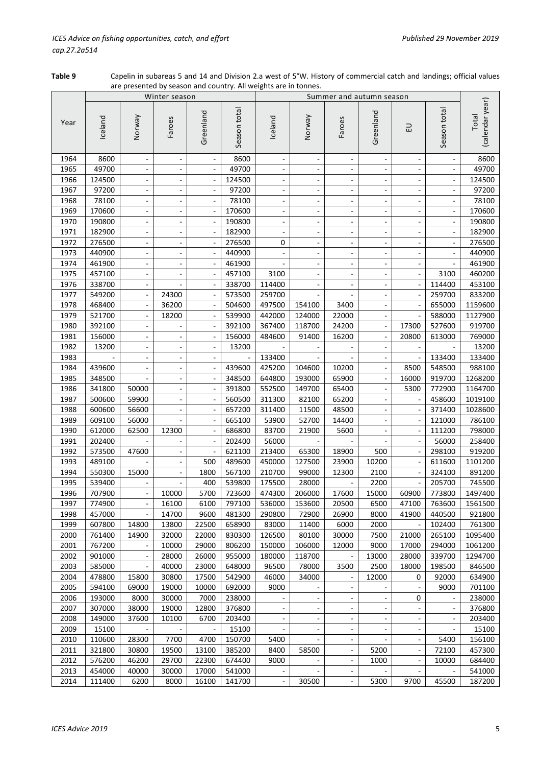**Table 9** Capelin in subareas 5 and 14 and Division 2.a west of 5°W. History of commercial catch and landings; official values are presented by season and country. All weights are in tonnes.

|      |         |                              | Winter season            |                          |              | Summer and autumn season |                              |                                                      |                                  |                          |                          |                          |  |  |
|------|---------|------------------------------|--------------------------|--------------------------|--------------|--------------------------|------------------------------|------------------------------------------------------|----------------------------------|--------------------------|--------------------------|--------------------------|--|--|
| Year | Iceland | Veway                        | Faroes                   | Greenland                | Season total | Iceland                  | Norway                       | Faroes                                               | Greenland                        | 급                        | Season total             | (calendar year)<br>Total |  |  |
| 1964 | 8600    | $\qquad \qquad \blacksquare$ | ÷,                       | $\overline{\phantom{a}}$ | 8600         | $\blacksquare$           | $\overline{\phantom{a}}$     | $\blacksquare$                                       |                                  | $\blacksquare$           | $\Box$                   | 8600                     |  |  |
| 1965 | 49700   |                              |                          |                          | 49700        |                          | $\blacksquare$               |                                                      |                                  |                          |                          | 49700                    |  |  |
| 1966 | 124500  |                              |                          |                          | 124500       |                          | $\overline{\phantom{a}}$     |                                                      |                                  |                          |                          | 124500                   |  |  |
| 1967 | 97200   |                              |                          | ÷,                       | 97200        |                          | $\blacksquare$               |                                                      |                                  | $\overline{\phantom{a}}$ |                          | 97200                    |  |  |
| 1968 | 78100   |                              |                          |                          | 78100        |                          | $\overline{\phantom{a}}$     | $\overline{\phantom{a}}$                             |                                  |                          |                          | 78100                    |  |  |
| 1969 | 170600  |                              |                          |                          | 170600       |                          | $\qquad \qquad \blacksquare$ |                                                      |                                  |                          |                          | 170600                   |  |  |
| 1970 | 190800  | ÷,                           |                          |                          | 190800       | $\frac{1}{2}$            | $\overline{\phantom{a}}$     | ÷,                                                   |                                  | $\overline{a}$           |                          | 190800                   |  |  |
| 1971 | 182900  | $\blacksquare$               |                          |                          | 182900       | $\overline{\phantom{a}}$ | $\blacksquare$               | $\overline{\phantom{a}}$                             | $\blacksquare$                   | $\overline{\phantom{a}}$ |                          | 182900                   |  |  |
| 1972 | 276500  | $\frac{1}{2}$                |                          | $\blacksquare$           | 276500       | 0                        | $\blacksquare$               | $\overline{\phantom{a}}$                             | $\overline{\phantom{a}}$         | $\overline{\phantom{a}}$ |                          | 276500                   |  |  |
| 1973 | 440900  | $\overline{\phantom{a}}$     | ÷,                       | $\blacksquare$           | 440900       | $\blacksquare$           | $\qquad \qquad \blacksquare$ | $\overline{\phantom{a}}$                             | $\overline{\phantom{a}}$         | $\overline{\phantom{a}}$ |                          | 440900                   |  |  |
| 1974 | 461900  | $\blacksquare$               |                          | $\overline{\phantom{a}}$ | 461900       |                          | $\overline{\phantom{a}}$     | $\overline{\phantom{a}}$                             | $\overline{\phantom{a}}$         | $\overline{\phantom{a}}$ |                          | 461900                   |  |  |
| 1975 | 457100  | ۰                            |                          | $\overline{\phantom{a}}$ | 457100       | 3100                     | ۰                            | $\overline{\phantom{a}}$                             | $\overline{\phantom{a}}$         | ۰                        | 3100                     | 460200                   |  |  |
| 1976 | 338700  | $\qquad \qquad \blacksquare$ |                          |                          | 338700       | 114400                   | $\qquad \qquad \blacksquare$ |                                                      |                                  |                          | 114400                   | 453100                   |  |  |
| 1977 | 549200  | $\qquad \qquad \blacksquare$ | 24300                    |                          | 573500       | 259700                   |                              |                                                      |                                  |                          | 259700                   | 833200                   |  |  |
| 1978 | 468400  |                              | 36200                    |                          | 504600       | 497500                   | 154100                       | 3400                                                 |                                  |                          | 655000                   | 1159600                  |  |  |
| 1979 | 521700  | $\blacksquare$               | 18200                    |                          | 539900       | 442000                   | 124000                       | 22000                                                |                                  |                          | 588000                   | 1127900                  |  |  |
| 1980 | 392100  | $\overline{\phantom{a}}$     |                          |                          | 392100       | 367400                   | 118700                       | 24200                                                |                                  | 17300                    | 527600                   | 919700                   |  |  |
| 1981 | 156000  |                              |                          |                          | 156000       | 484600                   | 91400                        | 16200                                                |                                  | 20800                    | 613000                   | 769000                   |  |  |
| 1982 | 13200   |                              |                          |                          | 13200        |                          |                              |                                                      |                                  |                          |                          | 13200                    |  |  |
| 1983 |         |                              |                          |                          |              | 133400                   |                              |                                                      |                                  |                          | 133400                   | 133400                   |  |  |
| 1984 | 439600  |                              |                          |                          | 439600       | 425200                   | 104600                       | 10200                                                | $\overline{\phantom{a}}$         | 8500                     | 548500                   | 988100                   |  |  |
| 1985 | 348500  | $\blacksquare$               | $\overline{\phantom{a}}$ | $\blacksquare$           | 348500       | 644800                   | 193000                       | 65900                                                | $\blacksquare$                   | 16000                    | 919700                   | 1268200                  |  |  |
| 1986 | 341800  | 50000                        |                          | $\blacksquare$           | 391800       | 552500                   | 149700                       | 65400                                                | $\overline{\phantom{a}}$         | 5300                     | 772900                   | 1164700                  |  |  |
| 1987 | 500600  | 59900                        |                          | $\overline{\phantom{a}}$ | 560500       | 311300                   | 82100                        | 65200                                                | $\overline{\phantom{a}}$         |                          | 458600                   | 1019100                  |  |  |
| 1988 | 600600  | 56600                        |                          |                          | 657200       | 311400                   | 11500                        | 48500                                                |                                  |                          | 371400                   | 1028600                  |  |  |
| 1989 | 609100  | 56000                        |                          |                          | 665100       | 53900                    | 52700                        | 14400                                                |                                  |                          | 121000                   | 786100                   |  |  |
| 1990 | 612000  | 62500                        | 12300                    |                          | 686800       | 83700                    | 21900                        | 5600                                                 |                                  |                          | 111200                   | 798000                   |  |  |
| 1991 | 202400  |                              |                          |                          | 202400       | 56000                    |                              |                                                      |                                  |                          | 56000                    | 258400                   |  |  |
| 1992 | 573500  | 47600                        |                          |                          | 621100       | 213400                   | 65300                        | 18900                                                | 500                              |                          | 298100                   | 919200                   |  |  |
| 1993 | 489100  |                              |                          | 500                      | 489600       | 450000                   | 127500                       | 23900                                                | 10200                            |                          | 611600                   | 1101200                  |  |  |
| 1994 | 550300  | 15000                        |                          | 1800                     | 567100       | 210700                   | 99000                        | 12300                                                | 2100                             |                          | 324100                   | 891200                   |  |  |
| 1995 | 539400  |                              |                          | 400                      | 539800       | 175500                   | 28000                        |                                                      | 2200                             |                          | 205700                   | 745500                   |  |  |
| 1996 | 707900  | ÷,                           | 10000                    | 5700                     | 723600       | 474300                   | 206000                       | 17600                                                | 15000                            | 60900                    | 773800                   | 1497400                  |  |  |
| 1997 | 774900  | $\qquad \qquad \blacksquare$ | 16100                    | 6100                     | 797100       | 536000                   | 153600                       | 20500                                                | 6500                             | 47100                    | 763600                   | 1561500                  |  |  |
| 1998 | 457000  | $\overline{\phantom{a}}$     | 14700                    | 9600                     | 481300       | 290800                   | 72900                        | 26900                                                | 8000                             | 41900                    | 440500                   | 921800                   |  |  |
| 1999 | 607800  | 14800                        | 13800                    | 22500                    | 658900       | 83000                    | 11400                        | 6000                                                 | 2000                             | $\overline{\phantom{0}}$ | 102400                   | 761300                   |  |  |
| 2000 | 761400  | 14900                        | 32000                    | 22000                    | 830300       | 126500                   | 80100                        | 30000                                                | 7500                             | 21000                    | 265100                   | 1095400                  |  |  |
| 2001 | 767200  | $\blacksquare$               | 10000                    | 29000                    | 806200       | 150000                   | 106000                       | 12000                                                | 9000                             | 17000                    | 294000                   | 1061200                  |  |  |
| 2002 | 901000  | $\overline{\phantom{0}}$     | 28000                    | 26000                    | 955000       | 180000                   | 118700                       | $\overline{\phantom{a}}$                             | 13000                            | 28000                    | 339700                   | 1294700                  |  |  |
| 2003 | 585000  |                              | 40000                    | 23000                    | 648000       | 96500                    | 78000                        | 3500                                                 | 2500                             | 18000                    | 198500                   | 846500                   |  |  |
| 2004 | 478800  | 15800                        | 30800                    | 17500                    | 542900       | 46000                    | 34000                        | $\overline{\phantom{a}}$                             | 12000                            | 0                        | 92000                    | 634900                   |  |  |
| 2005 | 594100  | 69000                        | 19000                    | 10000                    | 692000       | 9000                     |                              | $\overline{\phantom{a}}$                             |                                  | ÷,                       | 9000                     | 701100                   |  |  |
| 2006 | 193000  | 8000                         | 30000                    | 7000                     | 238000       |                          | $\blacksquare$               | $\overline{\phantom{a}}$                             | $\blacksquare$                   | 0                        | $\overline{\phantom{a}}$ | 238000                   |  |  |
| 2007 | 307000  | 38000                        | 19000                    | 12800                    | 376800       | $\overline{\phantom{a}}$ | $\blacksquare$               | $\blacksquare$                                       | $\overline{\phantom{a}}$         | $\blacksquare$           | $\blacksquare$           | 376800                   |  |  |
| 2008 | 149000  | 37600                        | 10100                    | 6700                     | 203400       | $\overline{\phantom{a}}$ | $\blacksquare$               | $\overline{\phantom{a}}$                             | $\overline{\phantom{a}}$         | $\blacksquare$           | $\overline{\phantom{a}}$ | 203400                   |  |  |
| 2009 | 15100   |                              |                          |                          | 15100        | $\overline{\phantom{a}}$ | $\blacksquare$               | $\overline{\phantom{a}}$                             | $\overline{\phantom{a}}$         | $\overline{\phantom{0}}$ | $\overline{\phantom{a}}$ | 15100                    |  |  |
| 2010 | 110600  | 28300                        | 7700                     | 4700                     | 150700       | 5400                     |                              |                                                      |                                  |                          | 5400                     | 156100                   |  |  |
| 2011 | 321800  | 30800                        | 19500                    | 13100                    | 385200       | 8400                     | ۰<br>58500                   | ۰<br>$\overline{\phantom{a}}$                        | $\overline{\phantom{a}}$<br>5200 | ۰<br>$\overline{a}$      | 72100                    | 457300                   |  |  |
| 2012 | 576200  | 46200                        | 29700                    | 22300                    | 674400       | 9000                     |                              |                                                      |                                  | $\blacksquare$           |                          | 684400                   |  |  |
| 2013 | 454000  | 40000                        | 30000                    | 17000                    | 541000       |                          |                              | $\overline{\phantom{a}}$<br>$\overline{\phantom{a}}$ | 1000                             | $\overline{\phantom{a}}$ | 10000                    | 541000                   |  |  |
|      |         |                              |                          |                          |              |                          |                              |                                                      |                                  |                          |                          |                          |  |  |
| 2014 | 111400  | 6200                         | 8000                     | 16100                    | 141700       | $\overline{\phantom{a}}$ | 30500                        | $\blacksquare$                                       | 5300                             | 9700                     | 45500                    | 187200                   |  |  |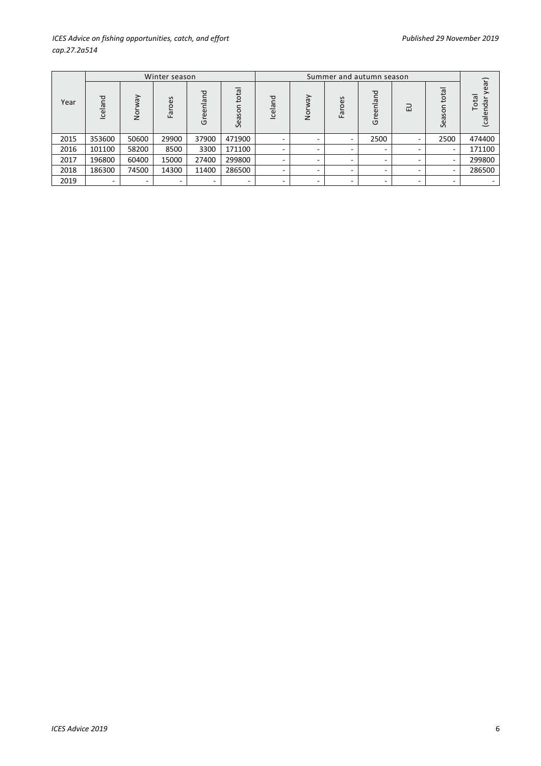# *ICES Advice on fishing opportunities, catch, and effort Published 29 November 2019 Published 29 November 2019 cap.27.2a514*

|      |         |               | Winter season |               |                |                          |               |                          |                          |                          |                     |                             |
|------|---------|---------------|---------------|---------------|----------------|--------------------------|---------------|--------------------------|--------------------------|--------------------------|---------------------|-----------------------------|
| Year | Iceland | Λeν<br>ō<br>Z | Faroes        | reenland<br>ヮ | total<br>Seaso | Iceland                  | ζeλ<br>.<br>2 | Faroes                   | Greenland                | 긊                        | ᅙ<br>ē<br>o<br>Seas | year)<br>Total<br>calendar) |
| 2015 | 353600  | 50600         | 29900         | 37900         | 471900         | $\sim$                   | ۰             | $\overline{\phantom{0}}$ | 2500                     | $\overline{\phantom{a}}$ | 2500                | 474400                      |
| 2016 | 101100  | 58200         | 8500          | 3300          | 171100         | -                        | ٠             | ۰                        | $\overline{\phantom{0}}$ | -                        |                     | 171100                      |
| 2017 | 196800  | 60400         | 15000         | 27400         | 299800         | -                        | -             | $\overline{\phantom{0}}$ | -                        | -                        |                     | 299800                      |
| 2018 | 186300  | 74500         | 14300         | 11400         | 286500         | $\overline{\phantom{a}}$ | ۰             | ۰                        | $\overline{\phantom{0}}$ | $\sim$                   | -                   | 286500                      |
| 2019 | -       | ۰             |               | -             |                | -                        | ۰             | -                        | -                        | ۰                        |                     |                             |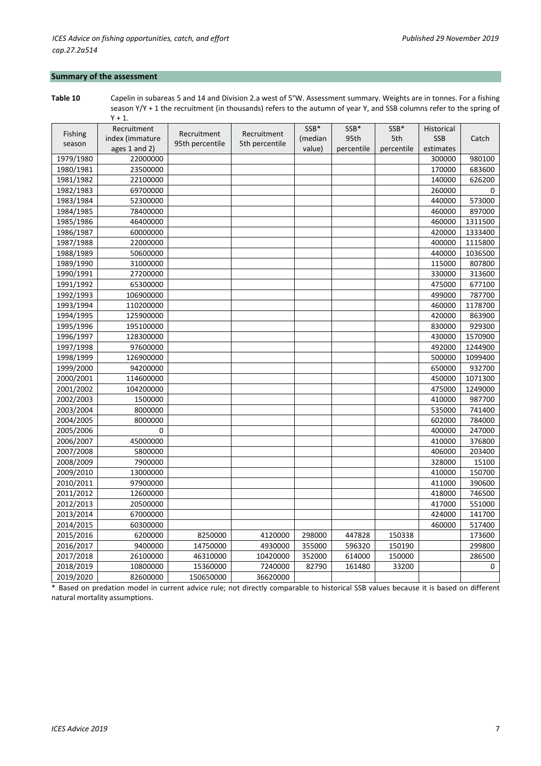# **Summary of the assessment**

**Table 10** Capelin in subareas 5 and 14 and Division 2.a west of 5°W. Assessment summary. Weights are in tonnes. For a fishing season Y/Y + 1 the recruitment (in thousands) refers to the autumn of year Y, and SSB columns refer to the spring of  $Y + 1$ .

|                | Recruitment       |                 |                | SSB*    | SSB*       | SSB*       | Historical |         |
|----------------|-------------------|-----------------|----------------|---------|------------|------------|------------|---------|
| <b>Fishing</b> | index (immature   | Recruitment     | Recruitment    | (median | 95th       | 5th        | <b>SSB</b> | Catch   |
| season         | ages $1$ and $2)$ | 95th percentile | 5th percentile | value)  | percentile | percentile | estimates  |         |
| 1979/1980      | 22000000          |                 |                |         |            |            | 300000     | 980100  |
| 1980/1981      | 23500000          |                 |                |         |            |            | 170000     | 683600  |
| 1981/1982      | 22100000          |                 |                |         |            |            | 140000     | 626200  |
| 1982/1983      | 69700000          |                 |                |         |            |            | 260000     | 0       |
| 1983/1984      | 52300000          |                 |                |         |            |            | 440000     | 573000  |
| 1984/1985      | 78400000          |                 |                |         |            |            | 460000     | 897000  |
| 1985/1986      | 46400000          |                 |                |         |            |            | 460000     | 1311500 |
| 1986/1987      | 60000000          |                 |                |         |            |            | 420000     | 1333400 |
| 1987/1988      | 22000000          |                 |                |         |            |            | 400000     | 1115800 |
| 1988/1989      | 50600000          |                 |                |         |            |            | 440000     | 1036500 |
| 1989/1990      | 31000000          |                 |                |         |            |            | 115000     | 807800  |
| 1990/1991      | 27200000          |                 |                |         |            |            | 330000     | 313600  |
| 1991/1992      | 65300000          |                 |                |         |            |            | 475000     | 677100  |
| 1992/1993      | 106900000         |                 |                |         |            |            | 499000     | 787700  |
| 1993/1994      | 110200000         |                 |                |         |            |            | 460000     | 1178700 |
| 1994/1995      | 125900000         |                 |                |         |            |            | 420000     | 863900  |
| 1995/1996      | 195100000         |                 |                |         |            |            | 830000     | 929300  |
| 1996/1997      | 128300000         |                 |                |         |            |            | 430000     | 1570900 |
| 1997/1998      | 97600000          |                 |                |         |            |            | 492000     | 1244900 |
| 1998/1999      | 126900000         |                 |                |         |            |            | 500000     | 1099400 |
| 1999/2000      | 94200000          |                 |                |         |            |            | 650000     | 932700  |
| 2000/2001      | 114600000         |                 |                |         |            |            | 450000     | 1071300 |
| 2001/2002      | 104200000         |                 |                |         |            |            | 475000     | 1249000 |
| 2002/2003      | 1500000           |                 |                |         |            |            | 410000     | 987700  |
| 2003/2004      | 8000000           |                 |                |         |            |            | 535000     | 741400  |
| 2004/2005      | 8000000           |                 |                |         |            |            | 602000     | 784000  |
| 2005/2006      | 0                 |                 |                |         |            |            | 400000     | 247000  |
| 2006/2007      | 45000000          |                 |                |         |            |            | 410000     | 376800  |
| 2007/2008      | 5800000           |                 |                |         |            |            | 406000     | 203400  |
| 2008/2009      | 7900000           |                 |                |         |            |            | 328000     | 15100   |
| 2009/2010      | 13000000          |                 |                |         |            |            | 410000     | 150700  |
| 2010/2011      | 97900000          |                 |                |         |            |            | 411000     | 390600  |
| 2011/2012      | 12600000          |                 |                |         |            |            | 418000     | 746500  |
| 2012/2013      | 20500000          |                 |                |         |            |            | 417000     | 551000  |
| 2013/2014      | 67000000          |                 |                |         |            |            | 424000     | 141700  |
| 2014/2015      | 60300000          |                 |                |         |            |            | 460000     | 517400  |
| 2015/2016      | 6200000           | 8250000         | 4120000        | 298000  | 447828     | 150338     |            | 173600  |
| 2016/2017      | 9400000           | 14750000        | 4930000        | 355000  | 596320     | 150190     |            | 299800  |
| 2017/2018      | 26100000          | 46310000        | 10420000       | 352000  | 614000     | 150000     |            | 286500  |
| 2018/2019      | 10800000          | 15360000        | 7240000        | 82790   | 161480     | 33200      |            | 0       |
| 2019/2020      | 82600000          | 150650000       | 36620000       |         |            |            |            |         |

\* Based on predation model in current advice rule; not directly comparable to historical SSB values because it is based on different natural mortality assumptions.